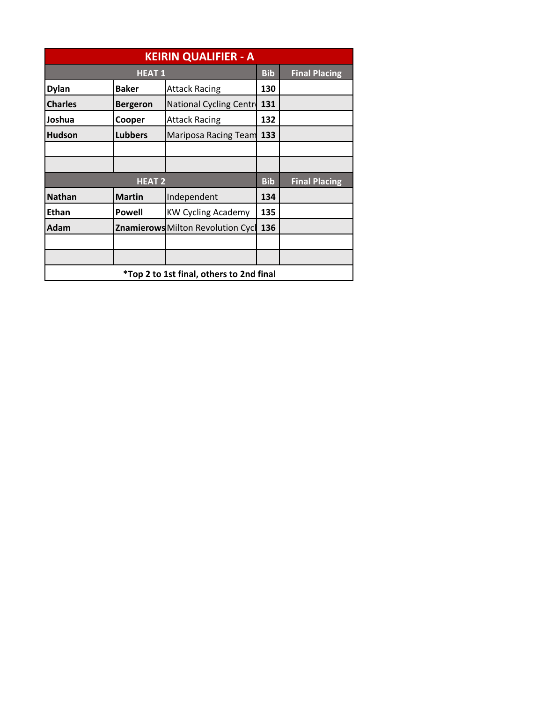| <b>KEIRIN QUALIFIER - A</b>              |                 |                                          |            |                      |
|------------------------------------------|-----------------|------------------------------------------|------------|----------------------|
| <b>HEAT1</b>                             |                 |                                          | <b>Bib</b> | <b>Final Placing</b> |
| <b>Dylan</b>                             | <b>Baker</b>    | <b>Attack Racing</b>                     | 130        |                      |
| <b>Charles</b>                           | <b>Bergeron</b> | National Cycling Centre                  | 131        |                      |
| Joshua                                   | Cooper          | <b>Attack Racing</b>                     | 132        |                      |
| <b>Hudson</b>                            | <b>Lubbers</b>  | Mariposa Racing Team                     | 133        |                      |
|                                          |                 |                                          |            |                      |
|                                          |                 |                                          |            |                      |
| <b>HEAT 2</b>                            |                 |                                          | <b>Bib</b> | <b>Final Placing</b> |
| <b>Nathan</b>                            | <b>Martin</b>   | Independent                              | 134        |                      |
| <b>Ethan</b>                             | <b>Powell</b>   | <b>KW Cycling Academy</b>                | 135        |                      |
| <b>Adam</b>                              |                 | <b>Znamierows Milton Revolution Cycl</b> | 136        |                      |
|                                          |                 |                                          |            |                      |
|                                          |                 |                                          |            |                      |
| *Top 2 to 1st final, others to 2nd final |                 |                                          |            |                      |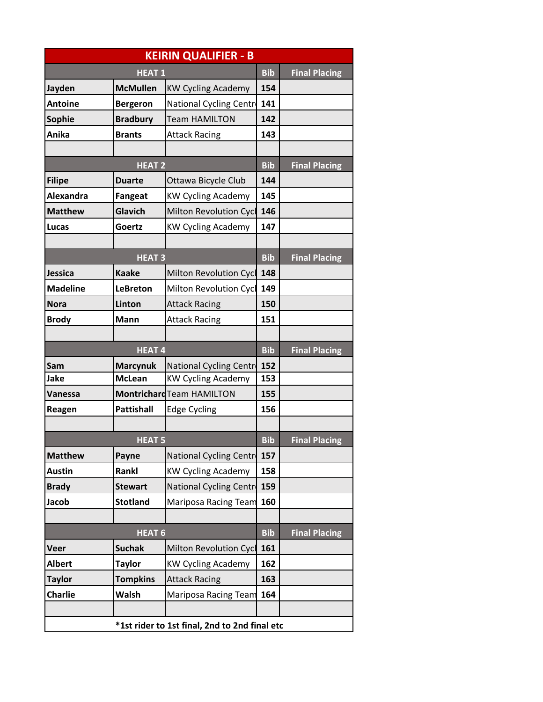| <b>KEIRIN QUALIFIER - B</b> |                   |                                               |            |                      |
|-----------------------------|-------------------|-----------------------------------------------|------------|----------------------|
| <b>HEAT1</b>                |                   |                                               | <b>Bib</b> | <b>Final Placing</b> |
| Jayden                      | <b>McMullen</b>   | <b>KW Cycling Academy</b>                     | 154        |                      |
| <b>Antoine</b>              | <b>Bergeron</b>   | National Cycling Centre                       | 141        |                      |
| <b>Sophie</b>               | <b>Bradbury</b>   | <b>Team HAMILTON</b>                          | 142        |                      |
| Anika                       | <b>Brants</b>     | <b>Attack Racing</b>                          | 143        |                      |
|                             |                   |                                               |            |                      |
|                             | <b>HEAT 2</b>     |                                               | <b>Bib</b> | <b>Final Placing</b> |
| <b>Filipe</b>               | <b>Duarte</b>     | Ottawa Bicycle Club                           | 144        |                      |
| <b>Alexandra</b>            | <b>Fangeat</b>    | <b>KW Cycling Academy</b>                     | 145        |                      |
| <b>Matthew</b>              | Glavich           | <b>Milton Revolution Cycl</b>                 | 146        |                      |
| Lucas                       | Goertz            | <b>KW Cycling Academy</b>                     | 147        |                      |
|                             |                   |                                               |            |                      |
|                             | <b>HEAT3</b>      |                                               | <b>Bib</b> | <b>Final Placing</b> |
| <b>Jessica</b>              | <b>Kaake</b>      | <b>Milton Revolution Cycl</b>                 | 148        |                      |
| <b>Madeline</b>             | <b>LeBreton</b>   | Milton Revolution Cycl                        | 149        |                      |
| <b>Nora</b>                 | Linton            | <b>Attack Racing</b>                          | 150        |                      |
| <b>Brody</b>                | <b>Mann</b>       | <b>Attack Racing</b>                          | 151        |                      |
|                             |                   |                                               |            |                      |
|                             | <b>HEAT4</b>      |                                               | <b>Bib</b> | <b>Final Placing</b> |
| Sam                         | <b>Marcynuk</b>   | National Cycling Centre                       | 152        |                      |
| Jake                        | <b>McLean</b>     | <b>KW Cycling Academy</b>                     | 153        |                      |
| Vanessa                     |                   | Montrichard Team HAMILTON                     | 155        |                      |
| Reagen                      | <b>Pattishall</b> | <b>Edge Cycling</b>                           | 156        |                      |
|                             |                   |                                               |            |                      |
|                             | <b>HEAT 5</b>     |                                               | <b>Bib</b> | <b>Final Placing</b> |
| <b>Matthew</b>              | Payne             | National Cycling Centre                       | 157        |                      |
| <b>Austin</b>               | Rankl             | <b>KW Cycling Academy</b>                     | 158        |                      |
| <b>Brady</b>                | <b>Stewart</b>    | National Cycling Centre                       | 159        |                      |
| Jacob                       | <b>Stotland</b>   | <b>Mariposa Racing Team</b>                   | 160        |                      |
|                             |                   |                                               |            |                      |
|                             | <b>HEAT 6</b>     |                                               | <b>Bib</b> | <b>Final Placing</b> |
| Veer                        | <b>Suchak</b>     | <b>Milton Revolution Cycl</b>                 | 161        |                      |
| <b>Albert</b>               | <b>Taylor</b>     | <b>KW Cycling Academy</b>                     | 162        |                      |
| <b>Taylor</b>               | <b>Tompkins</b>   | <b>Attack Racing</b>                          | 163        |                      |
| <b>Charlie</b>              | <b>Walsh</b>      | <b>Mariposa Racing Team</b>                   | 164        |                      |
|                             |                   |                                               |            |                      |
|                             |                   | *1st rider to 1st final, 2nd to 2nd final etc |            |                      |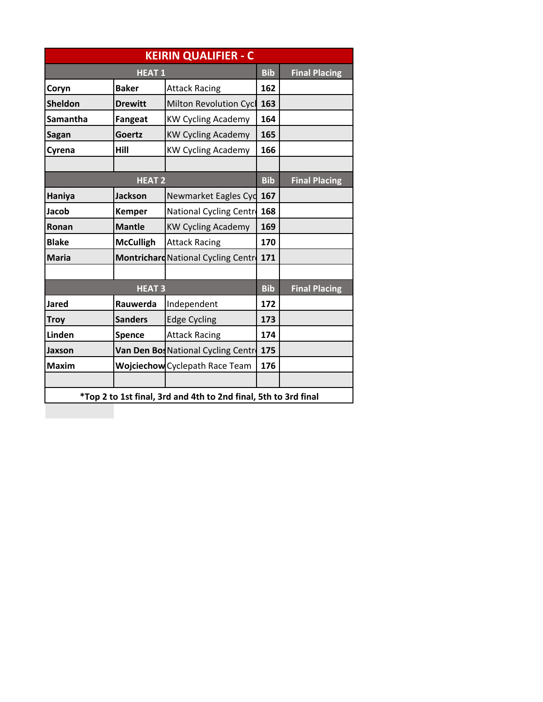| <b>KEIRIN QUALIFIER - C</b>                                     |                  |                                            |            |                      |
|-----------------------------------------------------------------|------------------|--------------------------------------------|------------|----------------------|
| <b>HEAT1</b>                                                    |                  |                                            | <b>Bib</b> | <b>Final Placing</b> |
| Coryn                                                           | <b>Baker</b>     | <b>Attack Racing</b>                       | 162        |                      |
| <b>Sheldon</b>                                                  | <b>Drewitt</b>   | Milton Revolution Cycl                     | 163        |                      |
| Samantha                                                        | <b>Fangeat</b>   | <b>KW Cycling Academy</b>                  | 164        |                      |
| <b>Sagan</b>                                                    | Goertz           | <b>KW Cycling Academy</b>                  | 165        |                      |
| Cyrena                                                          | Hill             | <b>KW Cycling Academy</b>                  | 166        |                      |
|                                                                 |                  |                                            |            |                      |
| <b>HEAT 2</b>                                                   |                  |                                            | <b>Bib</b> | <b>Final Placing</b> |
| Haniya                                                          | <b>Jackson</b>   | Newmarket Eagles Cyd                       | 167        |                      |
| Jacob                                                           | <b>Kemper</b>    | National Cycling Centr                     | 168        |                      |
| Ronan                                                           | <b>Mantle</b>    | <b>KW Cycling Academy</b>                  | 169        |                      |
| <b>Blake</b>                                                    | <b>McCulligh</b> | <b>Attack Racing</b>                       | 170        |                      |
| <b>Maria</b>                                                    |                  | <b>Montrichard National Cycling Centre</b> | 171        |                      |
|                                                                 |                  |                                            |            |                      |
| <b>HEAT3</b>                                                    |                  |                                            | <b>Bib</b> | <b>Final Placing</b> |
| <b>Jared</b>                                                    | Rauwerda         | Independent                                | 172        |                      |
| <b>Troy</b>                                                     | <b>Sanders</b>   | <b>Edge Cycling</b>                        | 173        |                      |
| <b>Linden</b>                                                   | <b>Spence</b>    | <b>Attack Racing</b>                       | 174        |                      |
| Jaxson                                                          |                  | Van Den Bos National Cycling Centr         | 175        |                      |
| <b>Maxim</b>                                                    |                  | <b>Wojciechow</b> Cyclepath Race Team      | 176        |                      |
|                                                                 |                  |                                            |            |                      |
| *Top 2 to 1st final, 3rd and 4th to 2nd final, 5th to 3rd final |                  |                                            |            |                      |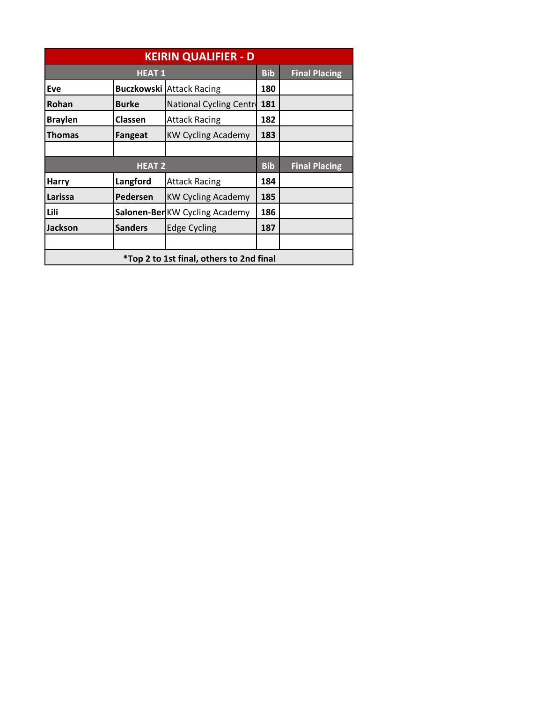| <b>KEIRIN QUALIFIER - D</b>                     |                |                                 |            |                      |
|-------------------------------------------------|----------------|---------------------------------|------------|----------------------|
| <b>HEAT 1</b>                                   |                |                                 | <b>Bib</b> | <b>Final Placing</b> |
| Eve                                             |                | <b>Buczkowski Attack Racing</b> | 180        |                      |
| Rohan                                           | <b>Burke</b>   | National Cycling Centre         | 181        |                      |
| <b>Braylen</b>                                  | <b>Classen</b> | <b>Attack Racing</b>            | 182        |                      |
| <b>Thomas</b>                                   | Fangeat        | <b>KW Cycling Academy</b>       | 183        |                      |
|                                                 |                |                                 |            |                      |
| <b>HEAT 2</b>                                   |                |                                 | <b>Bib</b> | <b>Final Placing</b> |
| <b>Harry</b>                                    | Langford       | <b>Attack Racing</b>            | 184        |                      |
| Larissa                                         | Pedersen       | <b>KW Cycling Academy</b>       | 185        |                      |
| Lili                                            |                | Salonen-BerKW Cycling Academy   | 186        |                      |
| <b>Jackson</b>                                  | <b>Sanders</b> | <b>Edge Cycling</b>             | 187        |                      |
|                                                 |                |                                 |            |                      |
| <i>*Top 2 to 1st final, others to 2nd final</i> |                |                                 |            |                      |